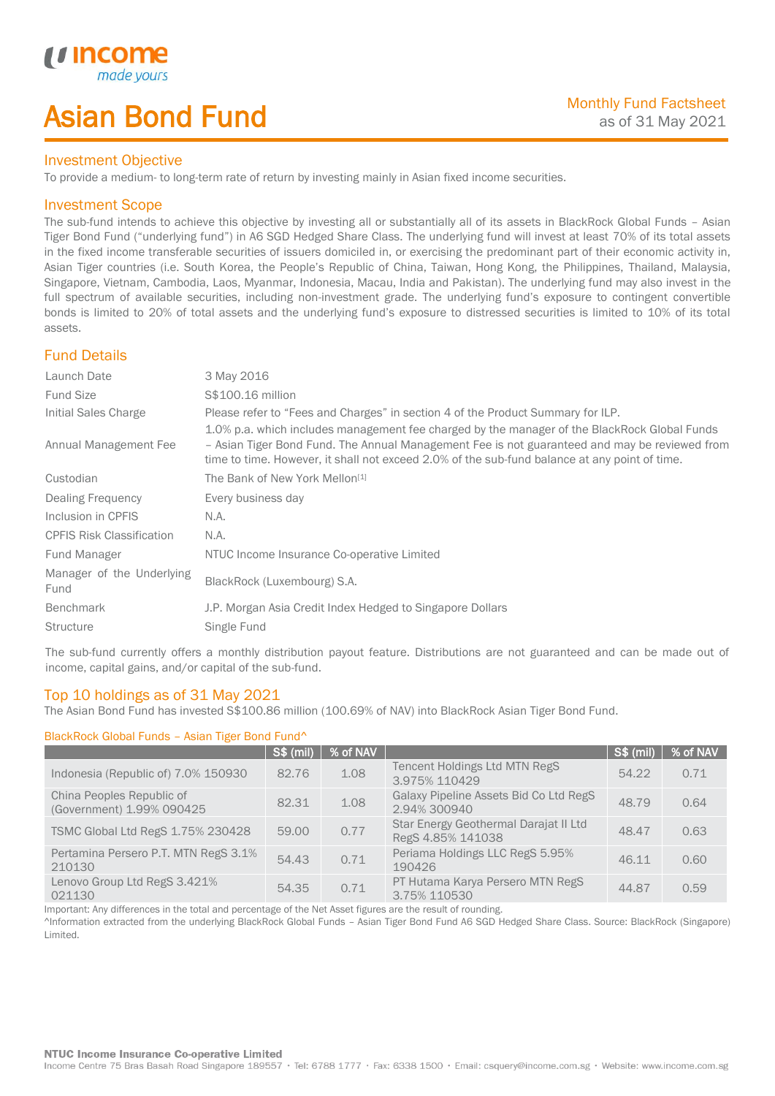# Asian Bond Fund

## Investment Objective

To provide a medium- to long-term rate of return by investing mainly in Asian fixed income securities.

## Investment Scope

*u* incom

I

The sub-fund intends to achieve this objective by investing all or substantially all of its assets in BlackRock Global Funds – Asian Tiger Bond Fund ("underlying fund") in A6 SGD Hedged Share Class. The underlying fund will invest at least 70% of its total assets in the fixed income transferable securities of issuers domiciled in, or exercising the predominant part of their economic activity in, Asian Tiger countries (i.e. South Korea, the People's Republic of China, Taiwan, Hong Kong, the Philippines, Thailand, Malaysia, Singapore, Vietnam, Cambodia, Laos, Myanmar, Indonesia, Macau, India and Pakistan). The underlying fund may also invest in the full spectrum of available securities, including non-investment grade. The underlying fund's exposure to contingent convertible bonds is limited to 20% of total assets and the underlying fund's exposure to distressed securities is limited to 10% of its total assets.

# Fund Details

| Launch Date                       | 3 May 2016                                                                                                                                                                                                                                                                                     |
|-----------------------------------|------------------------------------------------------------------------------------------------------------------------------------------------------------------------------------------------------------------------------------------------------------------------------------------------|
| <b>Fund Size</b>                  | S\$100.16 million                                                                                                                                                                                                                                                                              |
| Initial Sales Charge              | Please refer to "Fees and Charges" in section 4 of the Product Summary for ILP.                                                                                                                                                                                                                |
| Annual Management Fee             | 1.0% p.a. which includes management fee charged by the manager of the BlackRock Global Funds<br>- Asian Tiger Bond Fund. The Annual Management Fee is not guaranteed and may be reviewed from<br>time to time. However, it shall not exceed 2.0% of the sub-fund balance at any point of time. |
| Custodian                         | The Bank of New York Mellon <sup>[1]</sup>                                                                                                                                                                                                                                                     |
| Dealing Frequency                 | Every business day                                                                                                                                                                                                                                                                             |
| Inclusion in CPFIS                | N.A.                                                                                                                                                                                                                                                                                           |
| <b>CPFIS Risk Classification</b>  | N.A.                                                                                                                                                                                                                                                                                           |
| Fund Manager                      | NTUC Income Insurance Co-operative Limited                                                                                                                                                                                                                                                     |
| Manager of the Underlying<br>Fund | BlackRock (Luxembourg) S.A.                                                                                                                                                                                                                                                                    |
| <b>Benchmark</b>                  | J.P. Morgan Asia Credit Index Hedged to Singapore Dollars                                                                                                                                                                                                                                      |
| <b>Structure</b>                  | Single Fund                                                                                                                                                                                                                                                                                    |

The sub-fund currently offers a monthly distribution payout feature. Distributions are not guaranteed and can be made out of income, capital gains, and/or capital of the sub-fund.

# Top 10 holdings as of 31 May 2021

The Asian Bond Fund has invested S\$100.86 million (100.69% of NAV) into BlackRock Asian Tiger Bond Fund.

### BlackRock Global Funds – Asian Tiger Bond Fund^

|                                                        | S\$ (mil) | % of NAV |                                                            | S\$ (mil) | % of NAV |
|--------------------------------------------------------|-----------|----------|------------------------------------------------------------|-----------|----------|
| Indonesia (Republic of) 7.0% 150930                    | 82.76     | 1.08     | Tencent Holdings Ltd MTN RegS<br>3.975% 110429             | 54.22     | 0.71     |
| China Peoples Republic of<br>(Government) 1.99% 090425 | 82.31     | 1.08     | Galaxy Pipeline Assets Bid Co Ltd RegS<br>2.94% 300940     | 48.79     | 0.64     |
| TSMC Global Ltd RegS 1.75% 230428                      | 59.00     | 0.77     | Star Energy Geothermal Darajat II Ltd<br>RegS 4.85% 141038 | 48.47     | 0.63     |
| Pertamina Persero P.T. MTN RegS 3.1%<br>210130         | 54.43     | 0.71     | Periama Holdings LLC RegS 5.95%<br>190426                  | 46.11     | 0.60     |
| Lenovo Group Ltd RegS 3.421%<br>021130                 | 54.35     | 0.71     | PT Hutama Karya Persero MTN RegS<br>3.75% 110530           | 44.87     | 0.59     |

Important: Any differences in the total and percentage of the Net Asset figures are the result of rounding.

^Information extracted from the underlying BlackRock Global Funds – Asian Tiger Bond Fund A6 SGD Hedged Share Class. Source: BlackRock (Singapore) Limited.

#### **NTUC Income Insurance Co-operative Limited**

Income Centre 75 Bras Basah Road Singapore 189557 · Tel: 6788 1777 · Fax: 6338 1500 · Email: csquery@income.com.sg · Website: www.income.com.sg